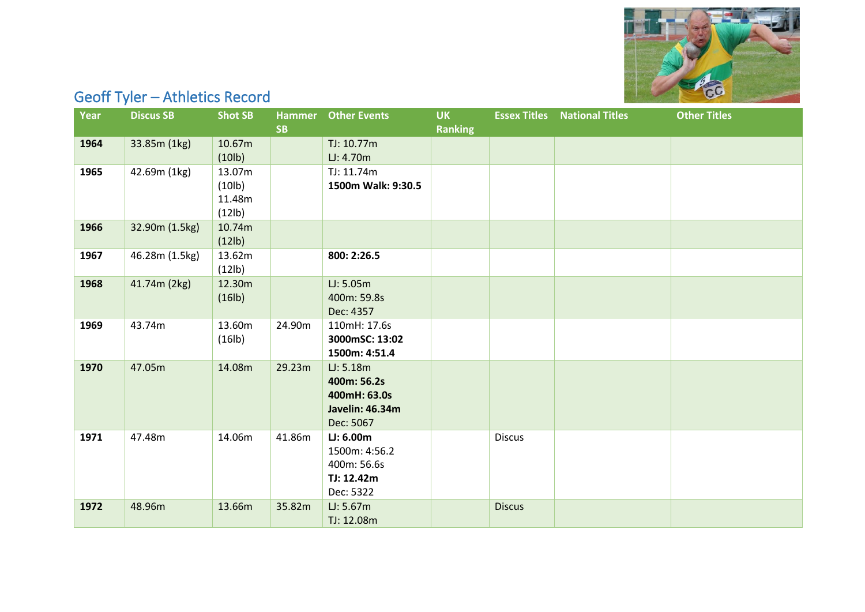

## Geoff Tyler – Athletics Record

| <b>Year</b> | <b>Discus SB</b> | <b>Shot SB</b>                                    | <b>SB</b> | <b>Hammer</b> Other Events                                               | <b>UK</b><br><b>Ranking</b> |               | <b>Essex Titles</b> National Titles | <b>Other Titles</b> |
|-------------|------------------|---------------------------------------------------|-----------|--------------------------------------------------------------------------|-----------------------------|---------------|-------------------------------------|---------------------|
| 1964        | 33.85m (1kg)     | 10.67m<br>(10 <sub>lb</sub> )                     |           | TJ: 10.77m<br>LJ: 4.70m                                                  |                             |               |                                     |                     |
| 1965        | 42.69m (1kg)     | 13.07m<br>(10 <sub>lb</sub> )<br>11.48m<br>(12lb) |           | TJ: 11.74m<br>1500m Walk: 9:30.5                                         |                             |               |                                     |                     |
| 1966        | 32.90m (1.5kg)   | 10.74m<br>(12 <sub>lb</sub> )                     |           |                                                                          |                             |               |                                     |                     |
| 1967        | 46.28m (1.5kg)   | 13.62m<br>(12lb)                                  |           | 800: 2:26.5                                                              |                             |               |                                     |                     |
| 1968        | 41.74m (2kg)     | 12.30m<br>(16 <sub>lb</sub> )                     |           | LJ: 5.05m<br>400m: 59.8s<br>Dec: 4357                                    |                             |               |                                     |                     |
| 1969        | 43.74m           | 13.60m<br>(16 <sub>lb</sub> )                     | 24.90m    | 110mH: 17.6s<br>3000mSC: 13:02<br>1500m: 4:51.4                          |                             |               |                                     |                     |
| 1970        | 47.05m           | 14.08m                                            | 29.23m    | LJ: 5.18m<br>400m: 56.2s<br>400mH: 63.0s<br>Javelin: 46.34m<br>Dec: 5067 |                             |               |                                     |                     |
| 1971        | 47.48m           | 14.06m                                            | 41.86m    | LJ: 6.00m<br>1500m: 4:56.2<br>400m: 56.6s<br>TJ: 12.42m<br>Dec: 5322     |                             | <b>Discus</b> |                                     |                     |
| 1972        | 48.96m           | 13.66m                                            | 35.82m    | LJ: 5.67m<br>TJ: 12.08m                                                  |                             | <b>Discus</b> |                                     |                     |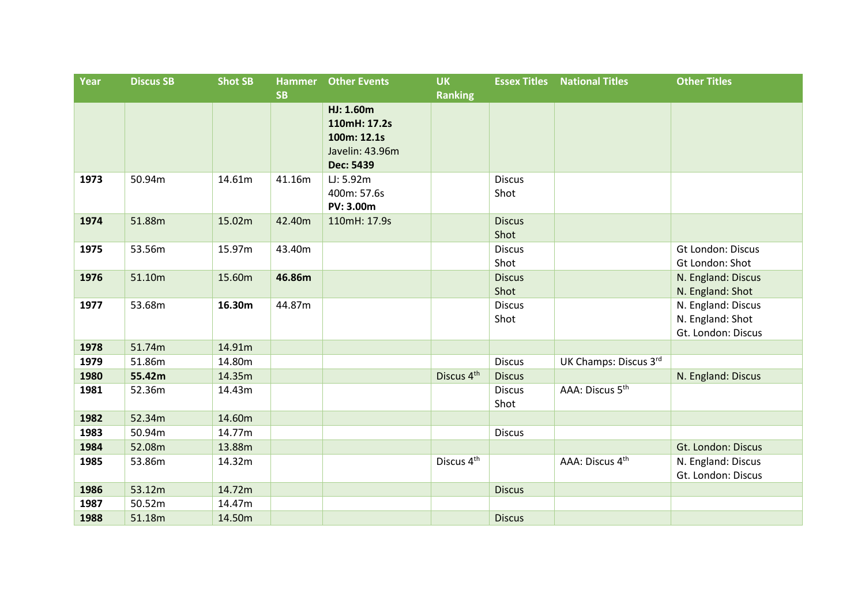| Year | <b>Discus SB</b> | <b>Shot SB</b> | <b>Hammer</b><br><b>SB</b> | <b>Other Events</b>                                                                          | <b>UK</b><br><b>Ranking</b> |                       | <b>Essex Titles</b> National Titles | <b>Other Titles</b>                                          |
|------|------------------|----------------|----------------------------|----------------------------------------------------------------------------------------------|-----------------------------|-----------------------|-------------------------------------|--------------------------------------------------------------|
| 1973 | 50.94m           | 14.61m         | 41.16m                     | HJ: 1.60m<br>110mH: 17.2s<br>100m: 12.1s<br>Javelin: 43.96m<br><b>Dec: 5439</b><br>LJ: 5.92m |                             | <b>Discus</b>         |                                     |                                                              |
|      |                  |                |                            | 400m: 57.6s<br><b>PV: 3.00m</b>                                                              |                             | Shot                  |                                     |                                                              |
| 1974 | 51.88m           | 15.02m         | 42.40m                     | 110mH: 17.9s                                                                                 |                             | <b>Discus</b><br>Shot |                                     |                                                              |
| 1975 | 53.56m           | 15.97m         | 43.40m                     |                                                                                              |                             | <b>Discus</b><br>Shot |                                     | Gt London: Discus<br>Gt London: Shot                         |
| 1976 | 51.10m           | 15.60m         | 46.86m                     |                                                                                              |                             | <b>Discus</b><br>Shot |                                     | N. England: Discus<br>N. England: Shot                       |
| 1977 | 53.68m           | 16.30m         | 44.87m                     |                                                                                              |                             | <b>Discus</b><br>Shot |                                     | N. England: Discus<br>N. England: Shot<br>Gt. London: Discus |
| 1978 | 51.74m           | 14.91m         |                            |                                                                                              |                             |                       |                                     |                                                              |
| 1979 | 51.86m           | 14.80m         |                            |                                                                                              |                             | <b>Discus</b>         | UK Champs: Discus 3rd               |                                                              |
| 1980 | 55.42m           | 14.35m         |                            |                                                                                              | Discus 4th                  | <b>Discus</b>         |                                     | N. England: Discus                                           |
| 1981 | 52.36m           | 14.43m         |                            |                                                                                              |                             | <b>Discus</b><br>Shot | AAA: Discus 5 <sup>th</sup>         |                                                              |
| 1982 | 52.34m           | 14.60m         |                            |                                                                                              |                             |                       |                                     |                                                              |
| 1983 | 50.94m           | 14.77m         |                            |                                                                                              |                             | <b>Discus</b>         |                                     |                                                              |
| 1984 | 52.08m           | 13.88m         |                            |                                                                                              |                             |                       |                                     | Gt. London: Discus                                           |
| 1985 | 53.86m           | 14.32m         |                            |                                                                                              | Discus 4 <sup>th</sup>      |                       | AAA: Discus 4 <sup>th</sup>         | N. England: Discus<br>Gt. London: Discus                     |
| 1986 | 53.12m           | 14.72m         |                            |                                                                                              |                             | <b>Discus</b>         |                                     |                                                              |
| 1987 | 50.52m           | 14.47m         |                            |                                                                                              |                             |                       |                                     |                                                              |
| 1988 | 51.18m           | 14.50m         |                            |                                                                                              |                             | <b>Discus</b>         |                                     |                                                              |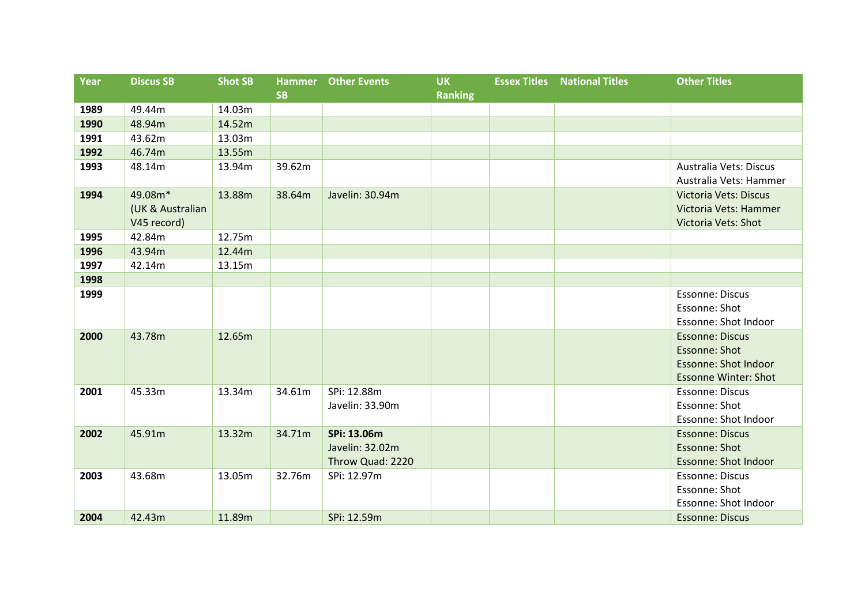| Year | <b>Discus SB</b>                           | <b>Shot SB</b> | <b>Hammer</b> | <b>Other Events</b>                                | <b>UK</b>      | <b>Essex Titles</b> | <b>National Titles</b> | <b>Other Titles</b>                                                                                   |
|------|--------------------------------------------|----------------|---------------|----------------------------------------------------|----------------|---------------------|------------------------|-------------------------------------------------------------------------------------------------------|
|      |                                            |                | <b>SB</b>     |                                                    | <b>Ranking</b> |                     |                        |                                                                                                       |
| 1989 | 49.44m                                     | 14.03m         |               |                                                    |                |                     |                        |                                                                                                       |
| 1990 | 48.94m                                     | 14.52m         |               |                                                    |                |                     |                        |                                                                                                       |
| 1991 | 43.62m                                     | 13.03m         |               |                                                    |                |                     |                        |                                                                                                       |
| 1992 | 46.74m                                     | 13.55m         |               |                                                    |                |                     |                        |                                                                                                       |
| 1993 | 48.14m                                     | 13.94m         | 39.62m        |                                                    |                |                     |                        | Australia Vets: Discus<br>Australia Vets: Hammer                                                      |
| 1994 | 49.08m*<br>(UK & Australian<br>V45 record) | 13.88m         | 38.64m        | Javelin: 30.94m                                    |                |                     |                        | <b>Victoria Vets: Discus</b><br>Victoria Vets: Hammer<br>Victoria Vets: Shot                          |
| 1995 | 42.84m                                     | 12.75m         |               |                                                    |                |                     |                        |                                                                                                       |
| 1996 | 43.94m                                     | 12.44m         |               |                                                    |                |                     |                        |                                                                                                       |
| 1997 | 42.14m                                     | 13.15m         |               |                                                    |                |                     |                        |                                                                                                       |
| 1998 |                                            |                |               |                                                    |                |                     |                        |                                                                                                       |
| 1999 |                                            |                |               |                                                    |                |                     |                        | <b>Essonne: Discus</b><br>Essonne: Shot<br>Essonne: Shot Indoor                                       |
| 2000 | 43.78m                                     | 12.65m         |               |                                                    |                |                     |                        | <b>Essonne: Discus</b><br>Essonne: Shot<br><b>Essonne: Shot Indoor</b><br><b>Essonne Winter: Shot</b> |
| 2001 | 45.33m                                     | 13.34m         | 34.61m        | SPi: 12.88m<br>Javelin: 33.90m                     |                |                     |                        | <b>Essonne: Discus</b><br>Essonne: Shot<br>Essonne: Shot Indoor                                       |
| 2002 | 45.91m                                     | 13.32m         | 34.71m        | SPi: 13.06m<br>Javelin: 32.02m<br>Throw Quad: 2220 |                |                     |                        | <b>Essonne: Discus</b><br><b>Essonne: Shot</b><br><b>Essonne: Shot Indoor</b>                         |
| 2003 | 43.68m                                     | 13.05m         | 32.76m        | SPi: 12.97m                                        |                |                     |                        | <b>Essonne: Discus</b><br>Essonne: Shot<br>Essonne: Shot Indoor                                       |
| 2004 | 42.43m                                     | 11.89m         |               | SPi: 12.59m                                        |                |                     |                        | <b>Essonne: Discus</b>                                                                                |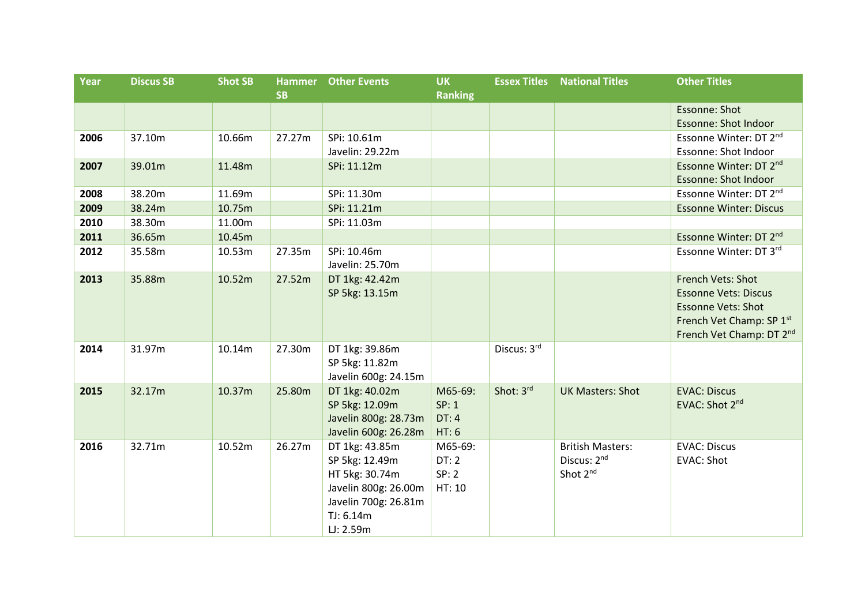| Year | <b>Discus SB</b> | <b>Shot SB</b> | <b>Hammer</b> | <b>Other Events</b>  | <b>UK</b>      | <b>Essex Titles</b> | <b>National Titles</b>  | <b>Other Titles</b>                |
|------|------------------|----------------|---------------|----------------------|----------------|---------------------|-------------------------|------------------------------------|
|      |                  |                | <b>SB</b>     |                      | <b>Ranking</b> |                     |                         |                                    |
|      |                  |                |               |                      |                |                     |                         | Essonne: Shot                      |
|      |                  |                |               |                      |                |                     |                         | <b>Essonne: Shot Indoor</b>        |
| 2006 | 37.10m           | 10.66m         | 27.27m        | SPi: 10.61m          |                |                     |                         | Essonne Winter: DT 2nd             |
|      |                  |                |               | Javelin: 29.22m      |                |                     |                         | Essonne: Shot Indoor               |
| 2007 | 39.01m           | 11.48m         |               | SPi: 11.12m          |                |                     |                         | Essonne Winter: DT 2nd             |
|      |                  |                |               |                      |                |                     |                         | <b>Essonne: Shot Indoor</b>        |
| 2008 | 38.20m           | 11.69m         |               | SPi: 11.30m          |                |                     |                         | Essonne Winter: DT 2nd             |
| 2009 | 38.24m           | 10.75m         |               | SPi: 11.21m          |                |                     |                         | <b>Essonne Winter: Discus</b>      |
| 2010 | 38.30m           | 11.00m         |               | SPi: 11.03m          |                |                     |                         |                                    |
| 2011 | 36.65m           | 10.45m         |               |                      |                |                     |                         | Essonne Winter: DT 2 <sup>nd</sup> |
| 2012 | 35.58m           | 10.53m         | 27.35m        | SPi: 10.46m          |                |                     |                         | Essonne Winter: DT 3rd             |
|      |                  |                |               | Javelin: 25.70m      |                |                     |                         |                                    |
| 2013 | 35.88m           | 10.52m         | 27.52m        | DT 1kg: 42.42m       |                |                     |                         | French Vets: Shot                  |
|      |                  |                |               | SP 5kg: 13.15m       |                |                     |                         | <b>Essonne Vets: Discus</b>        |
|      |                  |                |               |                      |                |                     |                         | <b>Essonne Vets: Shot</b>          |
|      |                  |                |               |                      |                |                     |                         | French Vet Champ: SP 1st           |
|      |                  |                |               |                      |                |                     |                         | French Vet Champ: DT 2nd           |
| 2014 | 31.97m           | 10.14m         | 27.30m        | DT 1kg: 39.86m       |                | Discus: 3rd         |                         |                                    |
|      |                  |                |               | SP 5kg: 11.82m       |                |                     |                         |                                    |
|      |                  |                |               | Javelin 600g: 24.15m |                |                     |                         |                                    |
| 2015 | 32.17m           | 10.37m         | 25.80m        | DT 1kg: 40.02m       | M65-69:        | Shot: 3rd           | <b>UK Masters: Shot</b> | <b>EVAC: Discus</b>                |
|      |                  |                |               | SP 5kg: 12.09m       | SP: 1          |                     |                         | EVAC: Shot 2 <sup>nd</sup>         |
|      |                  |                |               | Javelin 800g: 28.73m | DT:4           |                     |                         |                                    |
|      |                  |                |               | Javelin 600g: 26.28m | HT: 6          |                     |                         |                                    |
| 2016 | 32.71m           | 10.52m         | 26.27m        | DT 1kg: 43.85m       | M65-69:        |                     | <b>British Masters:</b> | <b>EVAC: Discus</b>                |
|      |                  |                |               | SP 5kg: 12.49m       | DT:2           |                     | Discus: 2nd             | <b>EVAC: Shot</b>                  |
|      |                  |                |               | HT 5kg: 30.74m       | SP: 2          |                     | Shot 2 <sup>nd</sup>    |                                    |
|      |                  |                |               | Javelin 800g: 26.00m | HT: 10         |                     |                         |                                    |
|      |                  |                |               | Javelin 700g: 26.81m |                |                     |                         |                                    |
|      |                  |                |               | TJ: 6.14m            |                |                     |                         |                                    |
|      |                  |                |               | LJ: 2.59m            |                |                     |                         |                                    |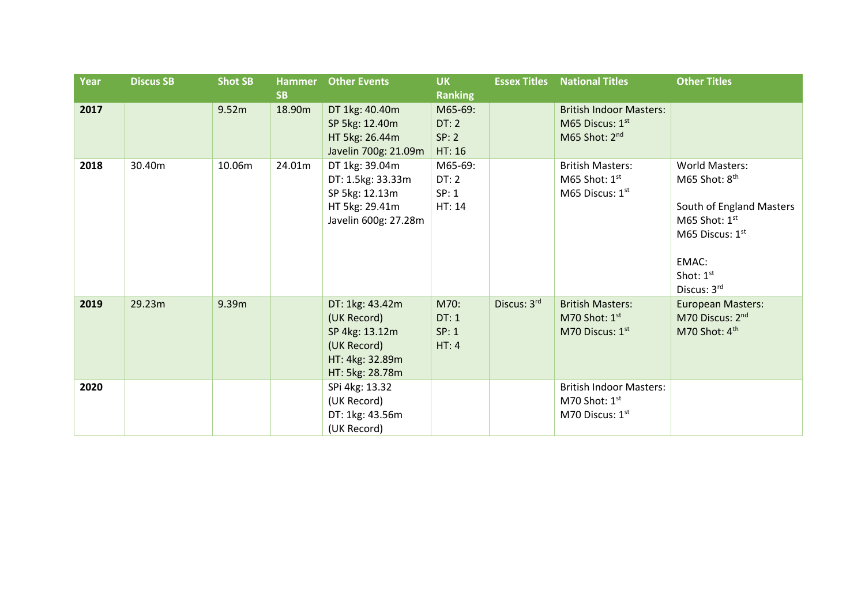| <b>Year</b> | <b>Discus SB</b> | <b>Shot SB</b> | <b>Hammer</b><br><b>SB</b> | <b>Other Events</b>                                                                                   | <b>UK</b><br><b>Ranking</b>        | <b>Essex Titles</b> | <b>National Titles</b>                                                         | <b>Other Titles</b>                                                                                                                                                   |
|-------------|------------------|----------------|----------------------------|-------------------------------------------------------------------------------------------------------|------------------------------------|---------------------|--------------------------------------------------------------------------------|-----------------------------------------------------------------------------------------------------------------------------------------------------------------------|
| 2017        |                  | 9.52m          | 18.90m                     | DT 1kg: 40.40m<br>SP 5kg: 12.40m<br>HT 5kg: 26.44m<br>Javelin 700g: 21.09m                            | M65-69:<br>DT:2<br>SP: 2<br>HT: 16 |                     | <b>British Indoor Masters:</b><br>M65 Discus: 1st<br>M65 Shot: 2 <sup>nd</sup> |                                                                                                                                                                       |
| 2018        | 30.40m           | 10.06m         | 24.01m                     | DT 1kg: 39.04m<br>DT: 1.5kg: 33.33m<br>SP 5kg: 12.13m<br>HT 5kg: 29.41m<br>Javelin 600g: 27.28m       | M65-69:<br>DT:2<br>SP: 1<br>HT: 14 |                     | <b>British Masters:</b><br>M65 Shot: $1st$<br>M65 Discus: $1st$                | <b>World Masters:</b><br>M65 Shot: 8 <sup>th</sup><br>South of England Masters<br>M65 Shot: $1st$<br>M65 Discus: 1 <sup>st</sup><br>EMAC:<br>Shot: 1st<br>Discus: 3rd |
| 2019        | 29.23m           | 9.39m          |                            | DT: 1kg: 43.42m<br>(UK Record)<br>SP 4kg: 13.12m<br>(UK Record)<br>HT: 4kg: 32.89m<br>HT: 5kg: 28.78m | M70:<br>DT:1<br>SP: 1<br>HT: 4     | Discus: 3rd         | <b>British Masters:</b><br>M70 Shot: $1st$<br>M70 Discus: 1st                  | <b>European Masters:</b><br>M70 Discus: 2nd<br>M70 Shot: 4th                                                                                                          |
| 2020        |                  |                |                            | SPi 4kg: 13.32<br>(UK Record)<br>DT: 1kg: 43.56m<br>(UK Record)                                       |                                    |                     | <b>British Indoor Masters:</b><br>M70 Shot: 1st<br>M70 Discus: 1 <sup>st</sup> |                                                                                                                                                                       |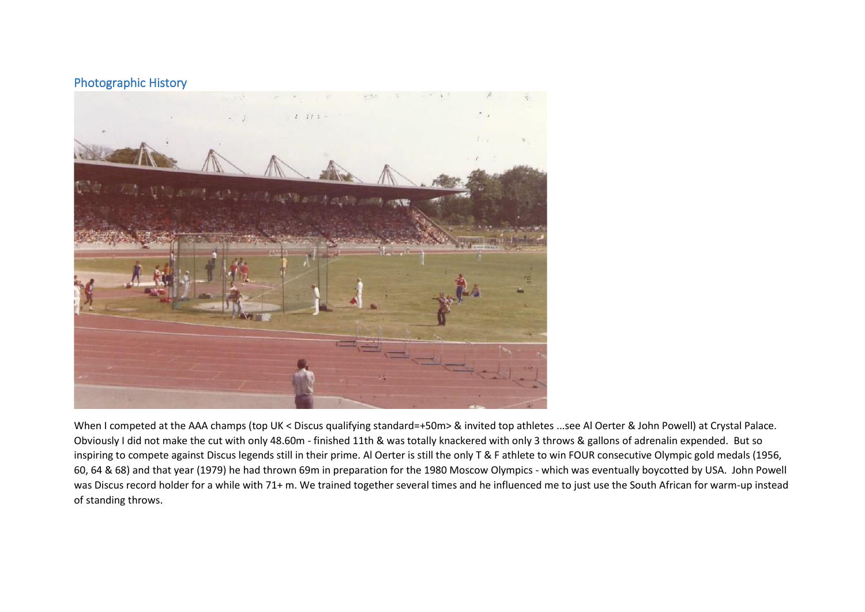## Photographic History



When I competed at the AAA champs (top UK < Discus qualifying standard=+50m> & invited top athletes ...see Al Oerter & John Powell) at Crystal Palace. Obviously I did not make the cut with only 48.60m - finished 11th & was totally knackered with only 3 throws & gallons of adrenalin expended. But so inspiring to compete against Discus legends still in their prime. Al Oerter is still the only T & F athlete to win FOUR consecutive Olympic gold medals (1956, 60, 64 & 68) and that year (1979) he had thrown 69m in preparation for the 1980 Moscow Olympics - which was eventually boycotted by USA. John Powell was Discus record holder for a while with 71+ m. We trained together several times and he influenced me to just use the South African for warm-up instead of standing throws.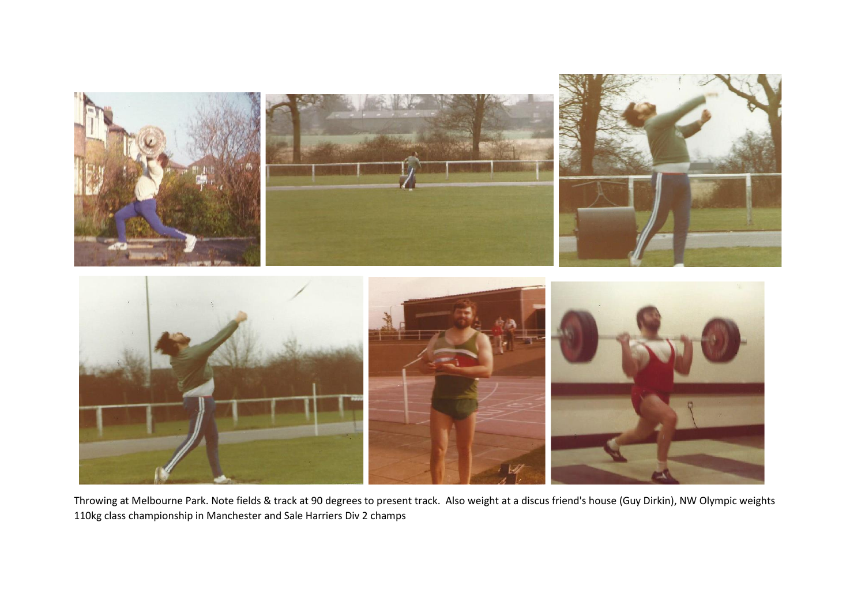

Throwing at Melbourne Park. Note fields & track at 90 degrees to present track. Also weight at a discus friend's house (Guy Dirkin), NW Olympic weights 110kg class championship in Manchester and Sale Harriers Div 2 champs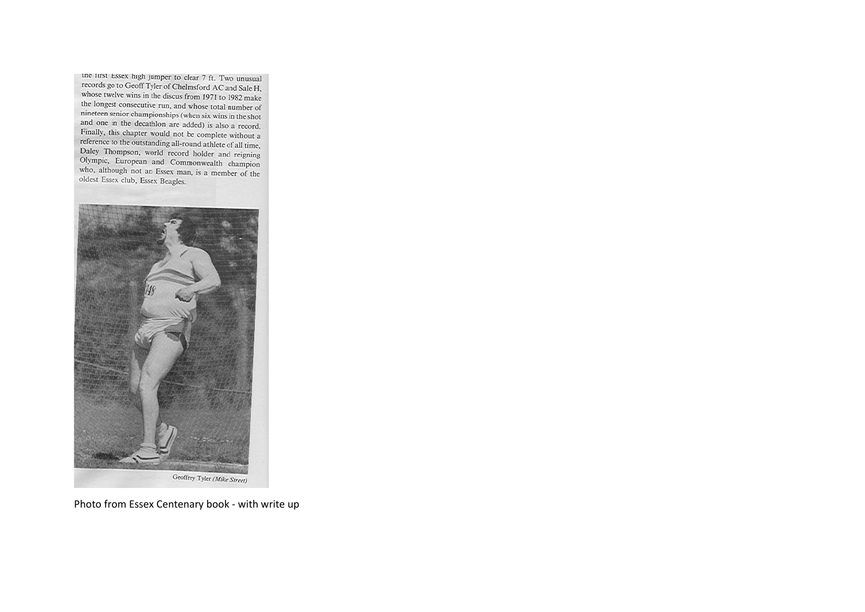tne tirst Essex high jumper to clear 7 ft. Two unusual records go to Geoff Tyler of Chelmsford AC and Sale H, whose twelve wins in the discus from 1971 to 1982 make the longest consecutive run, and whose total number of nineteen senior championships (when six wins in the shot and one in the decathlon are added) is also a record. Finally, this chapter would not be complete without a reference to the outstanding all-round athlete of all time, Daley Thompson, world record holder and reigning Olympic, European and Commonwealth champion who, although not an Essex man, is a member of the oldest Essex club, Essex Beagles.



Photo from Essex Centenary book - with write up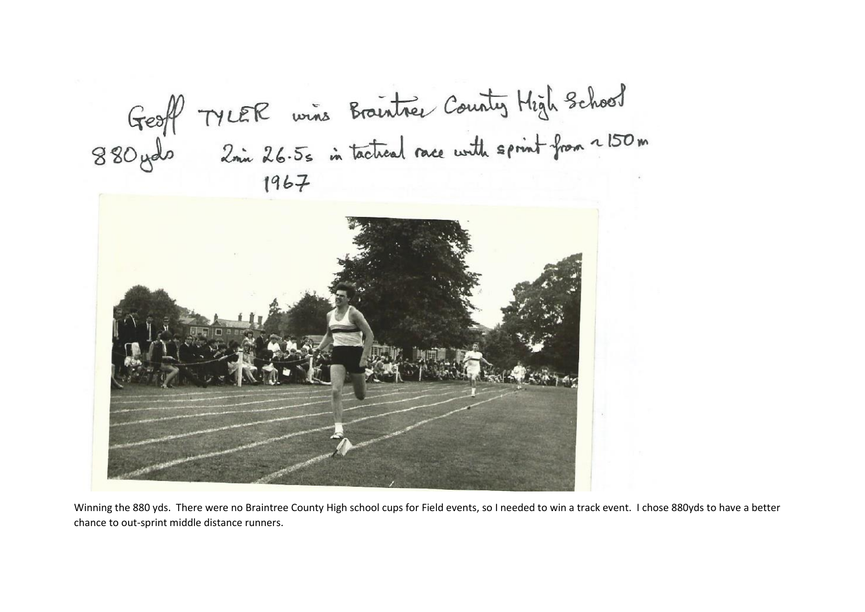



Winning the 880 yds. There were no Braintree County High school cups for Field events, so I needed to win a track event. I chose 880yds to have a better chance to out-sprint middle distance runners.